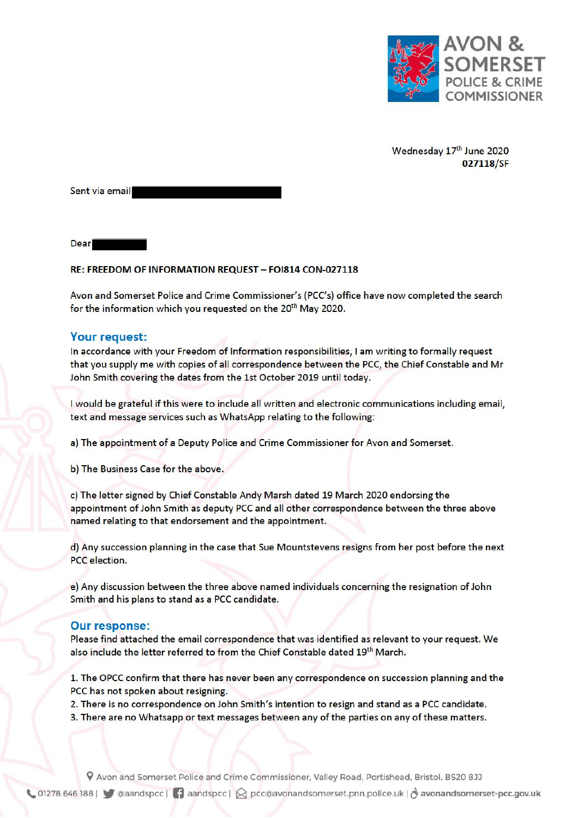

Wednesday 17th June 2020 027118/SF

Sent via email

**Dear** 

## RE: FREEDOM OF INFORMATION REQUEST - FOI814 CON-027118

Avon and Somerset Police and Crime Commissioner's (PCC's) office have now completed the search for the information which you requested on the 20<sup>th</sup> May 2020.

## Your request:

In accordance with your Freedom of Information responsibilities, I am writing to formally request that you supply me with copies of all correspondence between the PCC, the Chief Constable and Mr John Smith covering the dates from the 1st October 2019 until today.

I would be grateful if this were to include all written and electronic communications including email, text and message services such as WhatsApp relating to the following:

a) The appointment of a Deputy Police and Crime Commissioner for Avon and Somerset.

b) The Business Case for the above.

c) The letter signed by Chief Constable Andy Marsh dated 19 March 2020 endorsing the appointment of John Smith as deputy PCC and all other correspondence between the three above named relating to that endorsement and the appointment.

d) Any succession planning in the case that Sue Mountstevens resigns from her post before the next PCC election.

e) Any discussion between the three above named individuals concerning the resignation of John Smith and his plans to stand as a PCC candidate.

## **Our response:**

Please find attached the email correspondence that was identified as relevant to your request. We also include the letter referred to from the Chief Constable dated 19<sup>th</sup> March.

1. The OPCC confirm that there has never been any correspondence on succession planning and the PCC has not spoken about resigning.

2. There is no correspondence on John Smith's intention to resign and stand as a PCC candidate.

3. There are no Whatsapp or text messages between any of the parties on any of these matters.

9 Avon and Somerset Police and Crime Commissioner, Valley Road, Portishead, Bristol. BS20 8JJ

Collection 1278 646 188 | Canadspec | 1 aandspec |  $\otimes$  pec@avonandsomerset.pnn.police.uk |  $\otimes$  avonandsomerset-pec.gov.uk